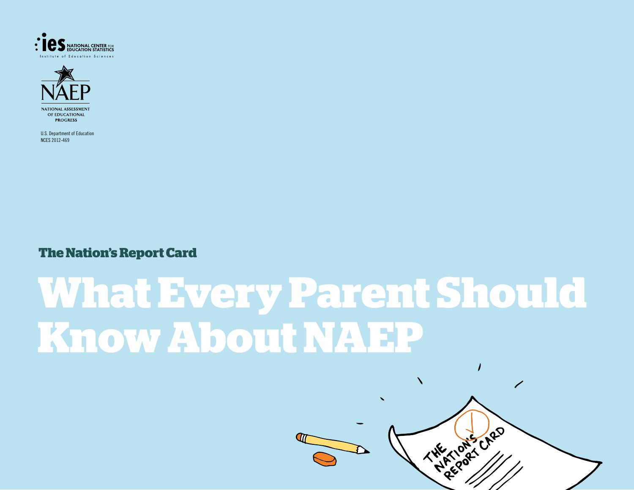



U.S. Department of Education NCES 2012-469

**The Nation's Report Card**

# **What Every Parent Should Know About NAEP**



 $\prime$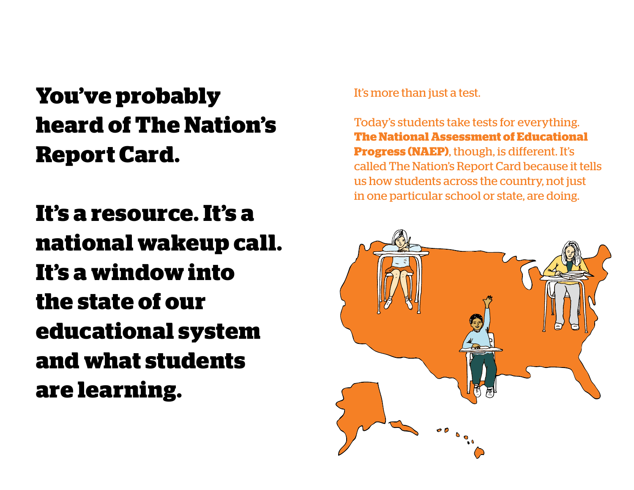# **You've probably heard of The Nation's Report Card.**

**It's a resource. It's a national wakeup call. It's a window into the state of our educational system and what students are learning.** 

It's more than just a test.

Today's students take tests for everything. **The National Assessment of Educational Progress (NAEP)**, though, is different. It's called The Nation's Report Card because it tells us how students across the country, not just in one particular school or state, are doing.

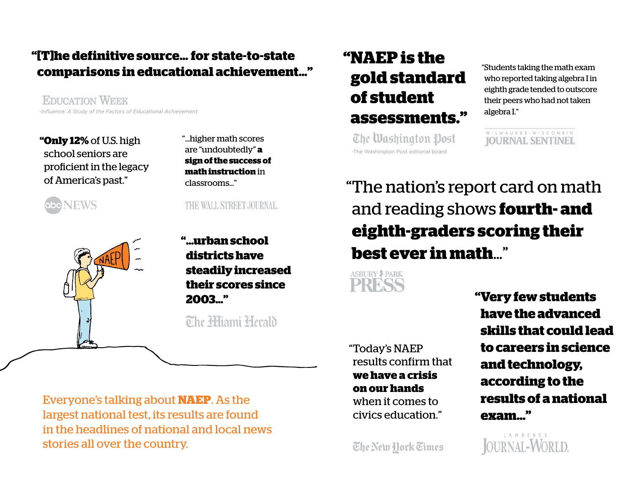#### **" [T]he definitive source… for state-to-state comparisons in educational achievement…"**

**EDUCATION WEEK** *-Influence: A Study of the Factors of Educational Achievement* 

 **"Only 12%** of U.S. high school seniors are proficient in the legacy of America's past."

. "…higher math scores are "undoubtedly" **a sign of the success of math instruction** in classrooms…"

THE WALL STREET JOURNAL

**VEWS** 



**"…urban school districts have steadily increased their scores since 2003…"** 

# The Hijami Herald

Everyone's talking about **NAEP**. As the largest national test, its results are found in the headlines of national and local news stories all over the country.

### **"NAEP is the gold standard of student assessments."**

The Washington Post -The Washington Post editorial board

"Students taking the math exam who reported taking algebra I in eighth grade tended to outscore their peers who had not taken algebra I."

MILWAUKEE · WISCONSIN **IOURNAL SENTINEL** 

r "The nation's report card on math and reading shows **fourth- and eighth-graders scoring their best ever in math**…"

**ASBURY 3 PARK** 

"Today's NAEP results confirm that **we have a crisis on our hands**  when it comes to civics education."

The New Hork Times

 **"Very few students have the advanced skills that could lead to careers in science and technology, according to the results of a national exam…"** 

L A W R E N C E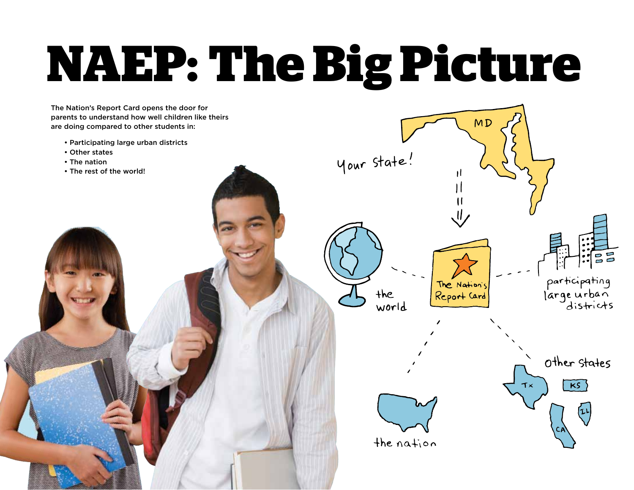# **NAEP: The Big Picture**

The Nation's Report Card opens the door for parents to understand how well children like theirs are doing compared to other students in:

- Participating large urban districts
- Other states
- The nation
- The rest of the world!



(٦١



the nation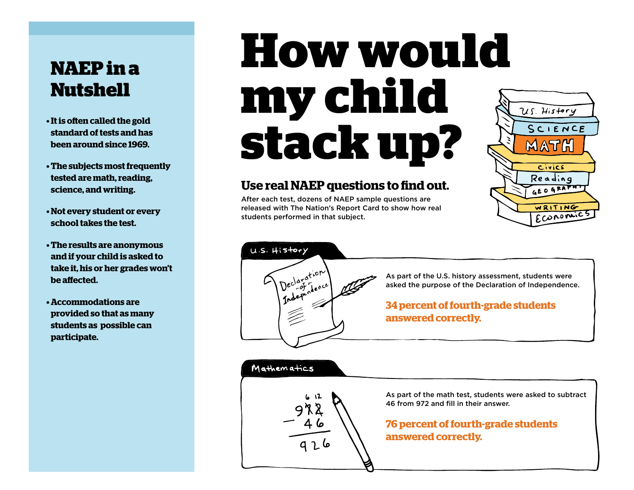### **NAEP in a Nutshell**

- **• It is often called the gold standard of tests and has been around since 1969.**
- **• The subjects most frequently tested are math, reading, science, and writing.**
- **• Not every student or every school takes the test.**
- **• The results are anonymous and if your child is asked to take it, his or her grades won't be affected.**
- **• Accommodations are provided so that as many students as possible can participate.**

# **How would my child stack up?**

#### **Use real NAEP questions to find out.**

After each test, dozens of NAEP sample questions are released with The Nation's Report Card to show how real students performed in that subject.





Mathematics

As part of the U.S. history assessment, students were asked the purpose of the Declaration of Independence.

#### **34 percent of fourth-grade students answered correctly.**

As part of the math test, students were asked to subtract 46 from 972 and fill in their answer.

#### **76 percent of fourth-grade students answered correctly.**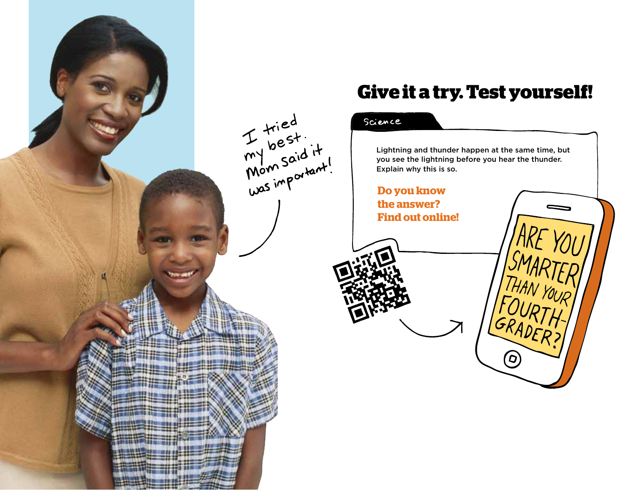![](_page_5_Picture_0.jpeg)

#### **Give it a try. Test yourself!**

#### Science

Lightning and thunder happen at the same time, but you see the lightning before you hear the thunder. Explain why this is so.

HAN YOUR<br>OURTLI

GRADER?

**Do you know the answer? Find out online!**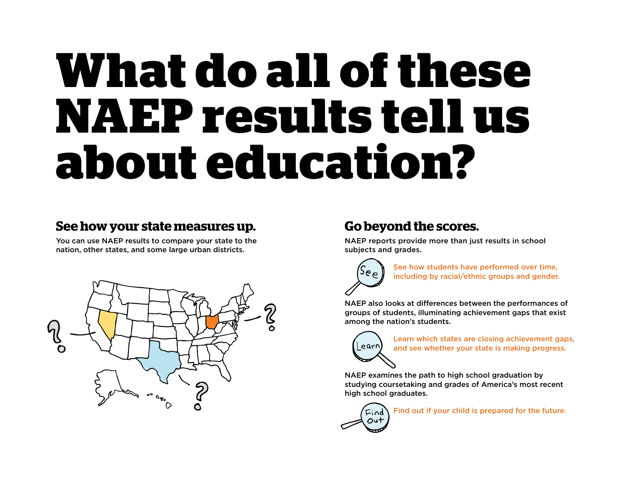# **What do all of these NAEP results tell us about education?**

### **See how your state measures up.**

You can use NAEP results to compare your state to the nation, other states, and some large urban districts.

![](_page_6_Figure_3.jpeg)

## **Go beyond the scores.**

NAEP reports provide more than just results in school subjects and grades.

![](_page_6_Picture_6.jpeg)

 See how students have performed over time, including by racial/ethnic groups and gender.

NAEP also looks at differences between the performances of groups of students, illuminating achievement gaps that exist among the nation's students.

![](_page_6_Picture_9.jpeg)

Learn which states are closing achievement gaps, and see whether your state is making progress.

 NAEP examines the path to high school graduation by studying coursetaking and grades of America's most recent high school graduates.

![](_page_6_Picture_12.jpeg)

Find out if your child is prepared for the future.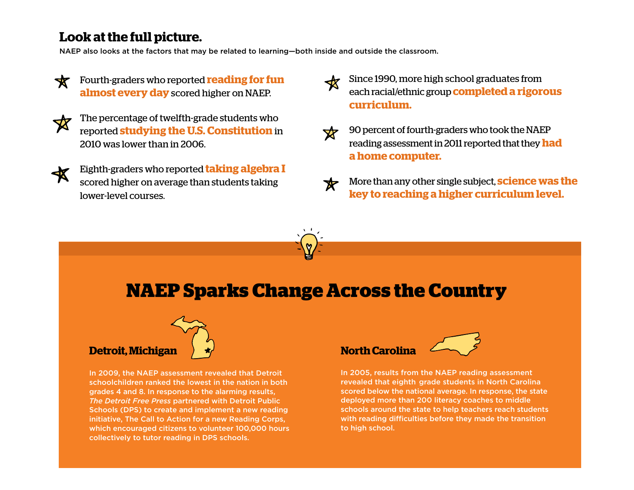#### **Look at the full picture.**

NAEP also looks at the factors that may be related to learning—both inside and outside the classroom.

- Fourth-graders who reported **reading for fun almost every day** scored higher on NAEP.
- 
- The percentage of twelfth-grade students who reported **studying the U.S. Constitution** in 2010 was lower than in 2006.
- 
- Eighth-graders who reported **taking algebra I**  scored higher on average than students taking lower-level courses.
- Since 1990, more high school graduates from each racial/ethnic group **completed a rigorous curriculum.**
- $\mathbf{x}$ 
	- 90 percent of fourth-graders who took the NAEP reading assessment in 2011 reported that they **had a home computer.**
- More than any other single subject, **science was the key to reaching a higher curriculum level.**

# **NAEP Sparks Change Across the Country**

![](_page_7_Picture_12.jpeg)

 schoolchildren ranked the lowest in the nation in both grades 4 and 8. In response to the alarming results,  *The Detroit Free Press* partnered with Detroit Public Schools (DPS) to create and implement a new reading initiative, The Call to Action for a new Reading Corps, which encouraged citizens to volunteer 100,000 hours collectively to tutor reading in DPS schools. In 2009, the NAEP assessment revealed that Detroit

# **North Carolina**

![](_page_7_Picture_16.jpeg)

 In 2005, results from the NAEP reading assessment revealed that eighth grade students in North Carolina scored below the national average. In response, the state deployed more than 200 literacy coaches to middle schools around the state to help teachers reach students with reading difficulties before they made the transition to high school.